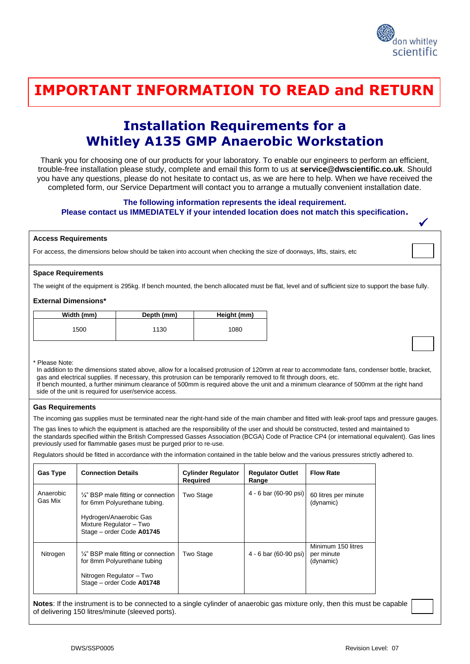

✓

### <u>THANK YOU FOR THINKING WITH THINKING WITH THINKING WITH TH</u> **IMPORTANT INFORMATION TO READ and RETURN**

## **Installation Requirements for a Whitley A135 GMP Anaerobic Workstation**

Thank you for choosing one of our products for your laboratory. To enable our engineers to perform an efficient, trouble-free installation please study, complete and email this form to us at **service@dwscientific.co.uk**. Should you have any questions, please do not hesitate to contact us, as we are here to help. When we have received the completed form, our Service Department will contact you to arrange a mutually convenient installation date.

#### **The following information represents the ideal requirement.**

#### **Please contact us IMMEDIATELY if your intended location does not match this specification.**

#### **Access Requirements**

For access, the dimensions below should be taken into account when checking the size of doorways, lifts, stairs, etc

#### **Space Requirements**

The weight of the equipment is 295kg. If bench mounted, the bench allocated must be flat, level and of sufficient size to support the base fully.

#### **External Dimensions\***

| Width (mm) | Depth (mm) | Height (mm) |
|------------|------------|-------------|
| 1500       | 1130       | 1080        |

#### \* Please Note:

 In addition to the dimensions stated above, allow for a localised protrusion of 120mm at rear to accommodate fans, condenser bottle, bracket, gas and electrical supplies. If necessary, this protrusion can be temporarily removed to fit through doors, etc. If bench mounted, a further minimum clearance of 500mm is required above the unit and a minimum clearance of 500mm at the right hand side of the unit is required for user/service access.

#### **Gas Requirements**

The incoming gas supplies must be terminated near the right-hand side of the main chamber and fitted with leak-proof taps and pressure gauges.

The gas lines to which the equipment is attached are the responsibility of the user and should be constructed, tested and maintained to the standards specified within the British Compressed Gasses Association (BCGA) Code of Practice CP4 (or international equivalent). Gas lines previously used for flammable gases must be purged prior to re-use.

Regulators should be fitted in accordance with the information contained in the table below and the various pressures strictly adhered to.

| <b>Gas Type</b>      | <b>Connection Details</b>                                                                                                                                        | <b>Cylinder Regulator</b><br>Required | <b>Regulator Outlet</b><br>Range | <b>Flow Rate</b>                              |
|----------------------|------------------------------------------------------------------------------------------------------------------------------------------------------------------|---------------------------------------|----------------------------------|-----------------------------------------------|
| Anaerobic<br>Gas Mix | $\frac{1}{4}$ " BSP male fitting or connection<br>for 6mm Polyurethane tubing.<br>Hydrogen/Anaerobic Gas<br>Mixture Regulator - Two<br>Stage - order Code A01745 | <b>Two Stage</b>                      | 4 - 6 bar (60-90 psi)            | 60 litres per minute<br>(dynamic)             |
| Nitrogen             | $\frac{1}{4}$ " BSP male fitting or connection<br>for 8mm Polyurethane tubing<br>Nitrogen Regulator - Two<br>Stage - order Code A01748                           | Two Stage                             | 4 - 6 bar (60-90 psi)            | Minimum 150 litres<br>per minute<br>(dynamic) |

**Notes**: If the instrument is to be connected to a single cylinder of anaerobic gas mixture only, then this must be capable of delivering 150 litres/minute (sleeved ports).